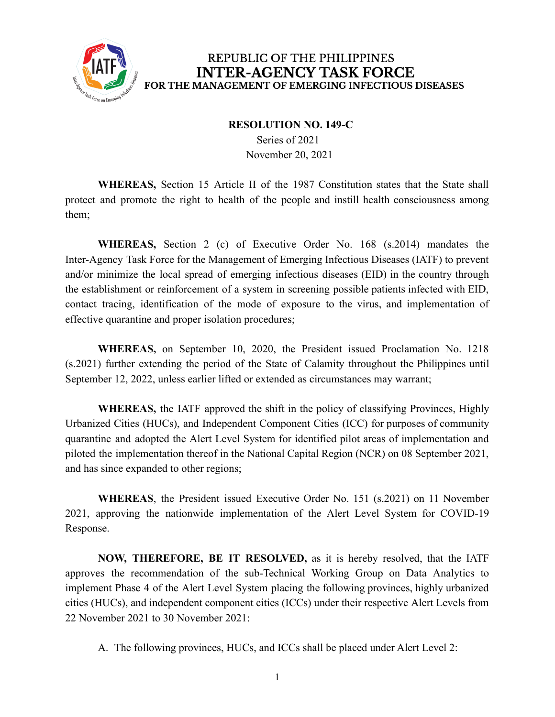

## REPUBLIC OF THE PHILIPPINES **INTER-AGENCY TASK FORCE** FOR THE MANAGEMENT OF EMERGING INFECTIOUS DISEASES

## **RESOLUTION NO. 149-C**

Series of 2021 November 20, 2021

**WHEREAS,** Section 15 Article II of the 1987 Constitution states that the State shall protect and promote the right to health of the people and instill health consciousness among them;

**WHEREAS,** Section 2 (c) of Executive Order No. 168 (s.2014) mandates the Inter-Agency Task Force for the Management of Emerging Infectious Diseases (IATF) to prevent and/or minimize the local spread of emerging infectious diseases (EID) in the country through the establishment or reinforcement of a system in screening possible patients infected with EID, contact tracing, identification of the mode of exposure to the virus, and implementation of effective quarantine and proper isolation procedures;

**WHEREAS,** on September 10, 2020, the President issued Proclamation No. 1218 (s.2021) further extending the period of the State of Calamity throughout the Philippines until September 12, 2022, unless earlier lifted or extended as circumstances may warrant;

**WHEREAS,** the IATF approved the shift in the policy of classifying Provinces, Highly Urbanized Cities (HUCs), and Independent Component Cities (ICC) for purposes of community quarantine and adopted the Alert Level System for identified pilot areas of implementation and piloted the implementation thereof in the National Capital Region (NCR) on 08 September 2021, and has since expanded to other regions;

**WHEREAS**, the President issued Executive Order No. 151 (s.2021) on 11 November 2021, approving the nationwide implementation of the Alert Level System for COVID-19 Response.

**NOW, THEREFORE, BE IT RESOLVED,** as it is hereby resolved, that the IATF approves the recommendation of the sub-Technical Working Group on Data Analytics to implement Phase 4 of the Alert Level System placing the following provinces, highly urbanized cities (HUCs), and independent component cities (ICCs) under their respective Alert Levels from 22 November 2021 to 30 November 2021:

A. The following provinces, HUCs, and ICCs shall be placed under Alert Level 2: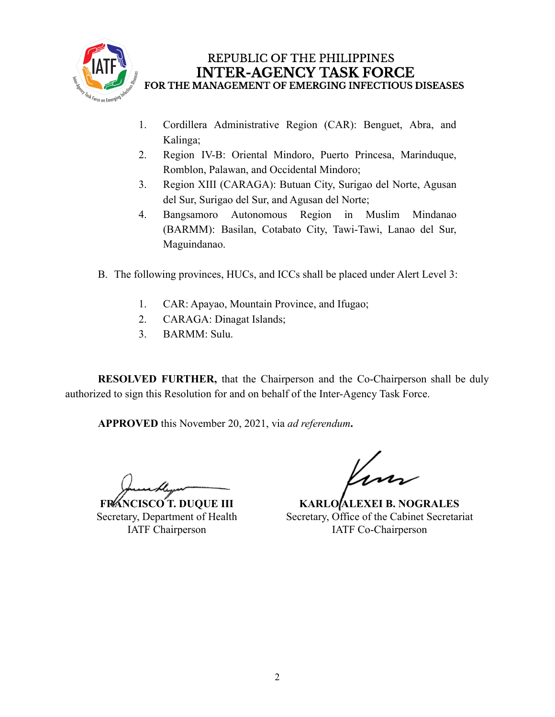

## REPUBLIC OF THE PHILIPPINES **INTER-AGENCY TASK FORCE** FOR THE MANAGEMENT OF EMERGING INFECTIOUS DISEASES

- 1. Cordillera Administrative Region (CAR): Benguet, Abra, and Kalinga;
- 2. Region IV-B: Oriental Mindoro, Puerto Princesa, Marinduque, Romblon, Palawan, and Occidental Mindoro;
- 3. Region XIII (CARAGA): Butuan City, Surigao del Norte, Agusan del Sur, Surigao del Sur, and Agusan del Norte;
- 4. Bangsamoro Autonomous Region in Muslim Mindanao (BARMM): Basilan, Cotabato City, Tawi-Tawi, Lanao del Sur, Maguindanao.
- B. The following provinces, HUCs, and ICCs shall be placed under Alert Level 3:
	- 1. CAR: Apayao, Mountain Province, and Ifugao;
	- 2. CARAGA: Dinagat Islands;
	- 3. BARMM: Sulu.

**RESOLVED FURTHER,** that the Chairperson and the Co-Chairperson shall be duly authorized to sign this Resolution for and on behalf of the Inter-Agency Task Force.

**APPROVED** this November 20, 2021, via *ad referendum***.**

**FRANCISCO T. DUQUE III** Secretary, Department of Health IATF Chairperson

**KARLO ALEXEI B. NOGRALES** Secretary, Office of the Cabinet Secretariat IATF Co-Chairperson